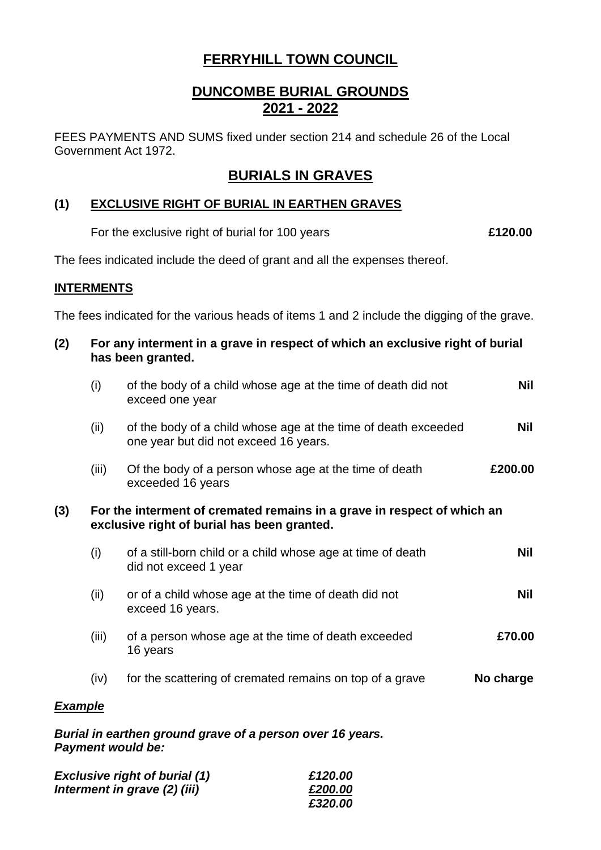# **FERRYHILL TOWN COUNCIL**

# **DUNCOMBE BURIAL GROUNDS 2021 - 2022**

FEES PAYMENTS AND SUMS fixed under section 214 and schedule 26 of the Local Government Act 1972.

## **BURIALS IN GRAVES**

### **(1) EXCLUSIVE RIGHT OF BURIAL IN EARTHEN GRAVES**

For the exclusive right of burial for 100 years **£120.00**

The fees indicated include the deed of grant and all the expenses thereof.

#### **INTERMENTS**

The fees indicated for the various heads of items 1 and 2 include the digging of the grave.

| (2)            |                                                                                                                        | For any interment in a grave in respect of which an exclusive right of burial<br>has been granted.      |           |  |
|----------------|------------------------------------------------------------------------------------------------------------------------|---------------------------------------------------------------------------------------------------------|-----------|--|
|                | (i)                                                                                                                    | of the body of a child whose age at the time of death did not<br>exceed one year                        | Nil       |  |
|                | (ii)                                                                                                                   | of the body of a child whose age at the time of death exceeded<br>one year but did not exceed 16 years. | Nil       |  |
|                | (iii)                                                                                                                  | Of the body of a person whose age at the time of death<br>exceeded 16 years                             | £200.00   |  |
| (3)            | For the interment of cremated remains in a grave in respect of which an<br>exclusive right of burial has been granted. |                                                                                                         |           |  |
|                | (i)                                                                                                                    | of a still-born child or a child whose age at time of death<br>did not exceed 1 year                    | Nil       |  |
|                | (ii)                                                                                                                   | or of a child whose age at the time of death did not<br>exceed 16 years.                                | Nil       |  |
|                | (iii)                                                                                                                  | of a person whose age at the time of death exceeded<br>16 years                                         | £70.00    |  |
|                | (iv)                                                                                                                   | for the scattering of cremated remains on top of a grave                                                | No charge |  |
| <b>Example</b> |                                                                                                                        |                                                                                                         |           |  |

*Burial in earthen ground grave of a person over 16 years. Payment would be:*

| <b>Exclusive right of burial (1)</b> | £120.00 |
|--------------------------------------|---------|
| Interment in grave (2) (iii)         | £200.00 |
|                                      | £320.00 |